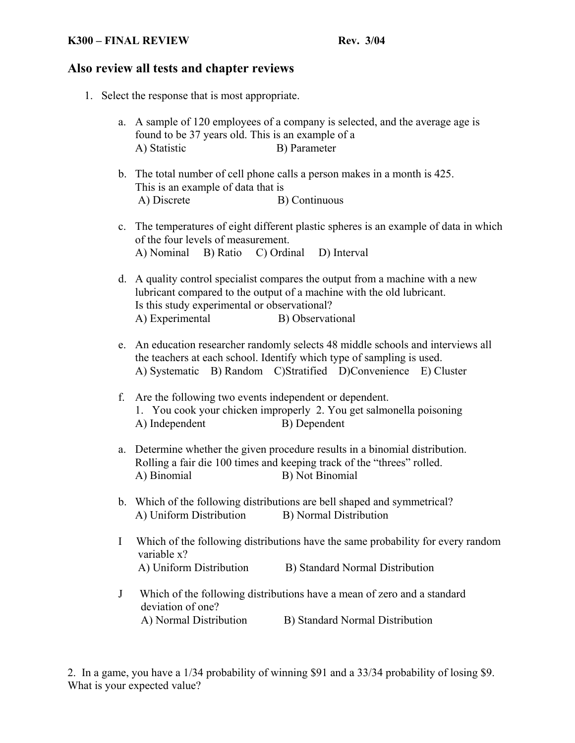#### **K300 – FINAL REVIEW Rev. 3/04**

## **Also review all tests and chapter reviews**

- 1. Select the response that is most appropriate.
	- a. A sample of 120 employees of a company is selected, and the average age is found to be 37 years old. This is an example of a A) Statistic B) Parameter
	- b. The total number of cell phone calls a person makes in a month is 425. This is an example of data that is A) Discrete B) Continuous
	- c. The temperatures of eight different plastic spheres is an example of data in which of the four levels of measurement. A) Nominal B) Ratio C) Ordinal D) Interval
	- d. A quality control specialist compares the output from a machine with a new lubricant compared to the output of a machine with the old lubricant. Is this study experimental or observational? A) Experimental B) Observational
	- e. An education researcher randomly selects 48 middle schools and interviews all the teachers at each school. Identify which type of sampling is used. A) Systematic B) Random C)Stratified D)Convenience E) Cluster
	- f. Are the following two events independent or dependent. 1. You cook your chicken improperly 2. You get salmonella poisoning A) Independent B) Dependent
	- a. Determine whether the given procedure results in a binomial distribution. Rolling a fair die 100 times and keeping track of the "threes" rolled. A) Binomial B) Not Binomial
	- b. Which of the following distributions are bell shaped and symmetrical? A) Uniform Distribution B) Normal Distribution
	- I Which of the following distributions have the same probability for every random variable x? A) Uniform Distribution B) Standard Normal Distribution
	- J Which of the following distributions have a mean of zero and a standard deviation of one? A) Normal Distribution B) Standard Normal Distribution

2. In a game, you have a 1/34 probability of winning \$91 and a 33/34 probability of losing \$9. What is your expected value?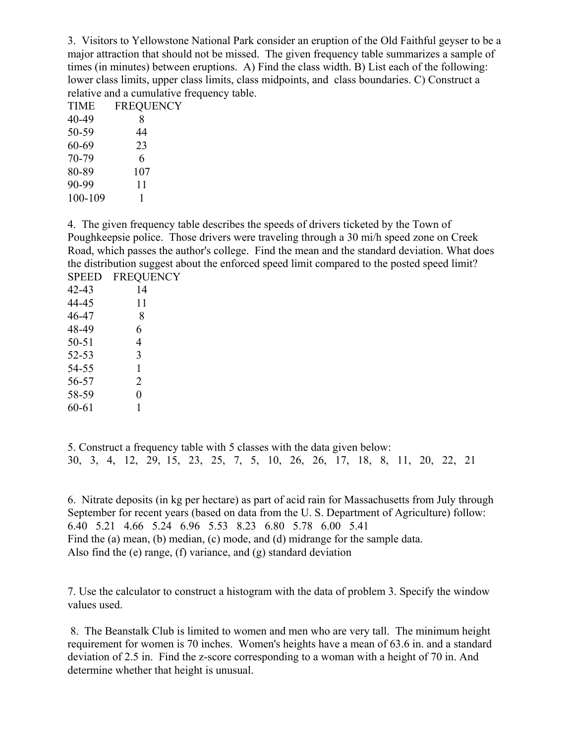3. Visitors to Yellowstone National Park consider an eruption of the Old Faithful geyser to be a major attraction that should not be missed. The given frequency table summarizes a sample of times (in minutes) between eruptions. A) Find the class width. B) List each of the following: lower class limits, upper class limits, class midpoints, and class boundaries. C) Construct a relative and a cumulative frequency table.

| TIME    | <b>FREQUENCY</b> |
|---------|------------------|
| 40-49   | 8                |
| 50-59   | 44               |
| 60-69   | 23               |
| 70-79   | 6                |
| 80-89   | 107              |
| 90-99   | 11               |
| 100-109 | 1                |
|         |                  |

4. The given frequency table describes the speeds of drivers ticketed by the Town of Poughkeepsie police. Those drivers were traveling through a 30 mi/h speed zone on Creek Road, which passes the author's college. Find the mean and the standard deviation. What does the distribution suggest about the enforced speed limit compared to the posted speed limit? SPEED FREQUENCY

| u uu      | 1 IWY 01 |
|-----------|----------|
| 42-43     | 14       |
| 44-45     | 11       |
| 46-47     | 8        |
| 48-49     | 6        |
| $50 - 51$ | 4        |
| 52-53     | 3        |
| 54-55     | 1        |
| 56-57     | 2        |
| 58-59     | 0        |
| 60-61     | 1        |
|           |          |

5. Construct a frequency table with 5 classes with the data given below: 30, 3, 4, 12, 29, 15, 23, 25, 7, 5, 10, 26, 26, 17, 18, 8, 11, 20, 22, 21

6. Nitrate deposits (in kg per hectare) as part of acid rain for Massachusetts from July through September for recent years (based on data from the U. S. Department of Agriculture) follow: 6.40 5.21 4.66 5.24 6.96 5.53 8.23 6.80 5.78 6.00 5.41 Find the (a) mean, (b) median, (c) mode, and (d) midrange for the sample data. Also find the (e) range, (f) variance, and (g) standard deviation

7. Use the calculator to construct a histogram with the data of problem 3. Specify the window values used.

 8. The Beanstalk Club is limited to women and men who are very tall. The minimum height requirement for women is 70 inches. Women's heights have a mean of 63.6 in. and a standard deviation of 2.5 in. Find the z-score corresponding to a woman with a height of 70 in. And determine whether that height is unusual.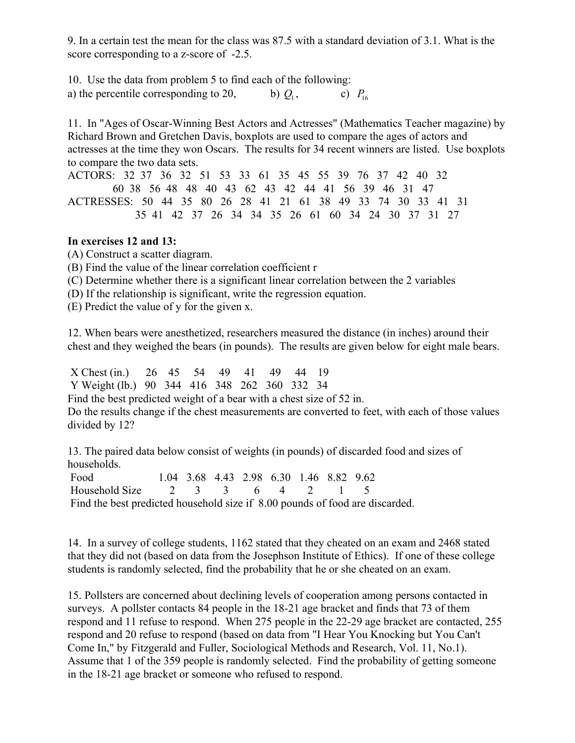9. In a certain test the mean for the class was 87.5 with a standard deviation of 3.1. What is the score corresponding to a z-score of  $-2.5$ .

10. Use the data from problem 5 to find each of the following: a) the percentile corresponding to 20, b)  $Q_1$ , c)  $P_{16}$ 

11. In "Ages of Oscar-Winning Best Actors and Actresses" (Mathematics Teacher magazine) by Richard Brown and Gretchen Davis, boxplots are used to compare the ages of actors and actresses at the time they won Oscars. The results for 34 recent winners are listed. Use boxplots to compare the two data sets.

ACTORS: 32 37 36 32 51 53 33 61 35 45 55 39 76 37 42 40 32 60 38 56 48 48 40 43 62 43 42 44 41 56 39 46 31 47 ACTRESSES: 50 44 35 80 26 28 41 21 61 38 49 33 74 30 33 41 31 35 41 42 37 26 34 34 35 26 61 60 34 24 30 37 31 27

### **In exercises 12 and 13:**

(A) Construct a scatter diagram.

(B) Find the value of the linear correlation coefficient r

(C) Determine whether there is a significant linear correlation between the 2 variables

(D) If the relationship is significant, write the regression equation.

(E) Predict the value of y for the given x.

12. When bears were anesthetized, researchers measured the distance (in inches) around their chest and they weighed the bears (in pounds). The results are given below for eight male bears.

 X Chest (in.) 26 45 54 49 41 49 44 19 Y Weight (lb.) 90 344 416 348 262 360 332 34

Find the best predicted weight of a bear with a chest size of 52 in.

Do the results change if the chest measurements are converted to feet, with each of those values divided by 12?

13. The paired data below consist of weights (in pounds) of discarded food and sizes of households.

 Food 1.04 3.68 4.43 2.98 6.30 1.46 8.82 9.62 Household Size 2 3 3 6 4 2 1 5 Find the best predicted household size if 8.00 pounds of food are discarded.

14. In a survey of college students, 1162 stated that they cheated on an exam and 2468 stated that they did not (based on data from the Josephson Institute of Ethics). If one of these college students is randomly selected, find the probability that he or she cheated on an exam.

15. Pollsters are concerned about declining levels of cooperation among persons contacted in surveys. A pollster contacts 84 people in the 18-21 age bracket and finds that 73 of them respond and 11 refuse to respond. When 275 people in the 22-29 age bracket are contacted, 255 respond and 20 refuse to respond (based on data from "I Hear You Knocking but You Can't Come In," by Fitzgerald and Fuller, Sociological Methods and Research, Vol. 11, No.1). Assume that 1 of the 359 people is randomly selected. Find the probability of getting someone in the 18-21 age bracket or someone who refused to respond.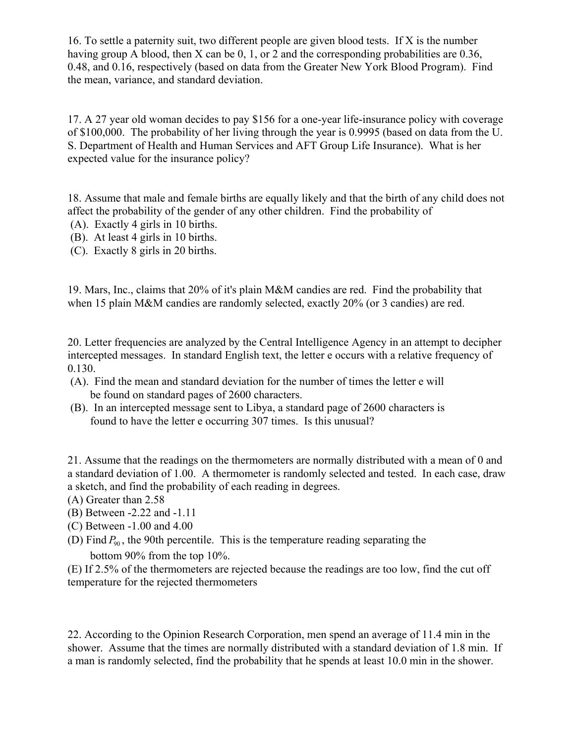16. To settle a paternity suit, two different people are given blood tests. If X is the number having group A blood, then X can be 0, 1, or 2 and the corresponding probabilities are 0.36, 0.48, and 0.16, respectively (based on data from the Greater New York Blood Program). Find the mean, variance, and standard deviation.

17. A 27 year old woman decides to pay \$156 for a one-year life-insurance policy with coverage of \$100,000. The probability of her living through the year is 0.9995 (based on data from the U. S. Department of Health and Human Services and AFT Group Life Insurance). What is her expected value for the insurance policy?

18. Assume that male and female births are equally likely and that the birth of any child does not affect the probability of the gender of any other children. Find the probability of

- (A). Exactly 4 girls in 10 births.
- (B). At least 4 girls in 10 births.
- (C). Exactly 8 girls in 20 births.

19. Mars, Inc., claims that 20% of it's plain M&M candies are red. Find the probability that when 15 plain M&M candies are randomly selected, exactly 20% (or 3 candies) are red.

20. Letter frequencies are analyzed by the Central Intelligence Agency in an attempt to decipher intercepted messages. In standard English text, the letter e occurs with a relative frequency of 0.130.

- (A). Find the mean and standard deviation for the number of times the letter e will be found on standard pages of 2600 characters.
- (B). In an intercepted message sent to Libya, a standard page of 2600 characters is found to have the letter e occurring 307 times. Is this unusual?

21. Assume that the readings on the thermometers are normally distributed with a mean of 0 and a standard deviation of 1.00. A thermometer is randomly selected and tested. In each case, draw a sketch, and find the probability of each reading in degrees.

(A) Greater than 2.58

- (B) Between -2.22 and -1.11
- (C) Between -1.00 and 4.00
- (D) Find  $P_{\text{90}}$ , the 90th percentile. This is the temperature reading separating the bottom 90% from the top 10%.

(E) If 2.5% of the thermometers are rejected because the readings are too low, find the cut off temperature for the rejected thermometers

22. According to the Opinion Research Corporation, men spend an average of 11.4 min in the shower. Assume that the times are normally distributed with a standard deviation of 1.8 min. If a man is randomly selected, find the probability that he spends at least 10.0 min in the shower.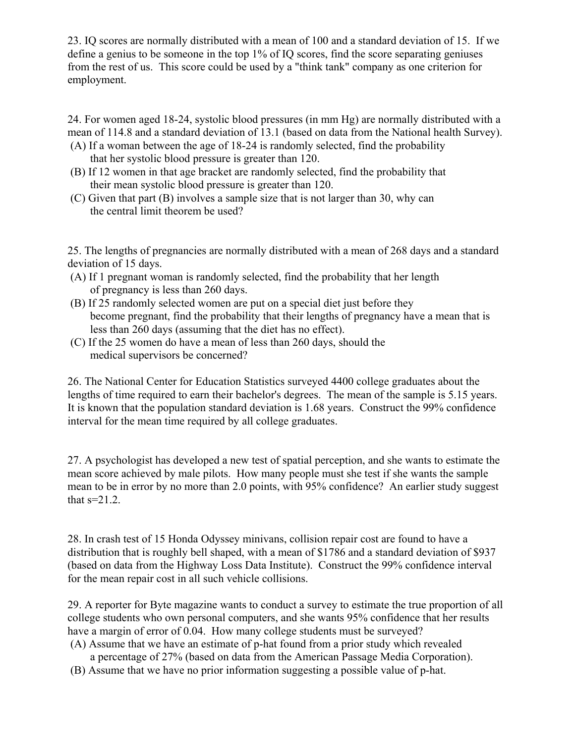23. IQ scores are normally distributed with a mean of 100 and a standard deviation of 15. If we define a genius to be someone in the top 1% of IQ scores, find the score separating geniuses from the rest of us. This score could be used by a "think tank" company as one criterion for employment.

24. For women aged 18-24, systolic blood pressures (in mm Hg) are normally distributed with a mean of 114.8 and a standard deviation of 13.1 (based on data from the National health Survey). (A) If a woman between the age of 18-24 is randomly selected, find the probability

- that her systolic blood pressure is greater than 120.
- (B) If 12 women in that age bracket are randomly selected, find the probability that their mean systolic blood pressure is greater than 120.
- (C) Given that part (B) involves a sample size that is not larger than 30, why can the central limit theorem be used?

25. The lengths of pregnancies are normally distributed with a mean of 268 days and a standard deviation of 15 days.

- (A) If 1 pregnant woman is randomly selected, find the probability that her length of pregnancy is less than 260 days.
- (B) If 25 randomly selected women are put on a special diet just before they become pregnant, find the probability that their lengths of pregnancy have a mean that is less than 260 days (assuming that the diet has no effect).
- (C) If the 25 women do have a mean of less than 260 days, should the medical supervisors be concerned?

26. The National Center for Education Statistics surveyed 4400 college graduates about the lengths of time required to earn their bachelor's degrees. The mean of the sample is 5.15 years. It is known that the population standard deviation is 1.68 years. Construct the 99% confidence interval for the mean time required by all college graduates.

27. A psychologist has developed a new test of spatial perception, and she wants to estimate the mean score achieved by male pilots. How many people must she test if she wants the sample mean to be in error by no more than 2.0 points, with 95% confidence? An earlier study suggest that  $s=21.2$ .

28. In crash test of 15 Honda Odyssey minivans, collision repair cost are found to have a distribution that is roughly bell shaped, with a mean of \$1786 and a standard deviation of \$937 (based on data from the Highway Loss Data Institute). Construct the 99% confidence interval for the mean repair cost in all such vehicle collisions.

29. A reporter for Byte magazine wants to conduct a survey to estimate the true proportion of all college students who own personal computers, and she wants 95% confidence that her results have a margin of error of 0.04. How many college students must be surveyed?

- (A) Assume that we have an estimate of p-hat found from a prior study which revealed a percentage of 27% (based on data from the American Passage Media Corporation).
- (B) Assume that we have no prior information suggesting a possible value of p-hat.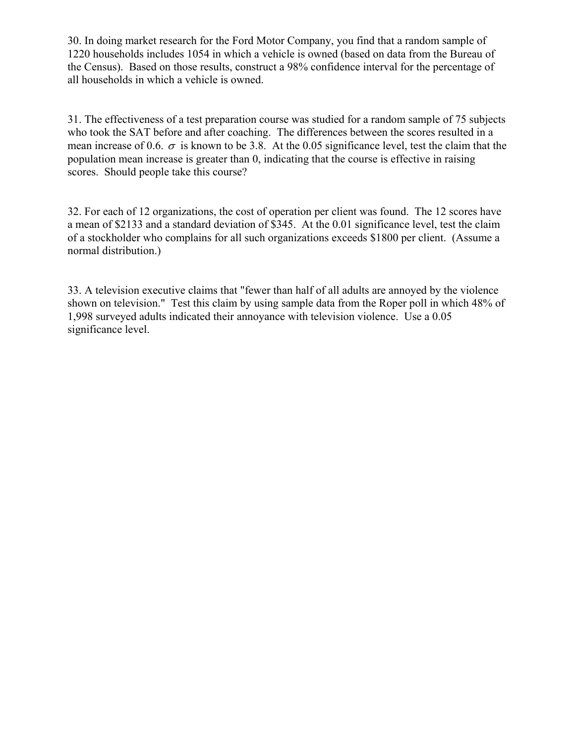30. In doing market research for the Ford Motor Company, you find that a random sample of 1220 households includes 1054 in which a vehicle is owned (based on data from the Bureau of the Census). Based on those results, construct a 98% confidence interval for the percentage of all households in which a vehicle is owned.

31. The effectiveness of a test preparation course was studied for a random sample of 75 subjects who took the SAT before and after coaching. The differences between the scores resulted in a mean increase of 0.6.  $\sigma$  is known to be 3.8. At the 0.05 significance level, test the claim that the population mean increase is greater than 0, indicating that the course is effective in raising scores. Should people take this course?

32. For each of 12 organizations, the cost of operation per client was found. The 12 scores have a mean of \$2133 and a standard deviation of \$345. At the 0.01 significance level, test the claim of a stockholder who complains for all such organizations exceeds \$1800 per client. (Assume a normal distribution.)

33. A television executive claims that "fewer than half of all adults are annoyed by the violence shown on television." Test this claim by using sample data from the Roper poll in which 48% of 1,998 surveyed adults indicated their annoyance with television violence. Use a 0.05 significance level.